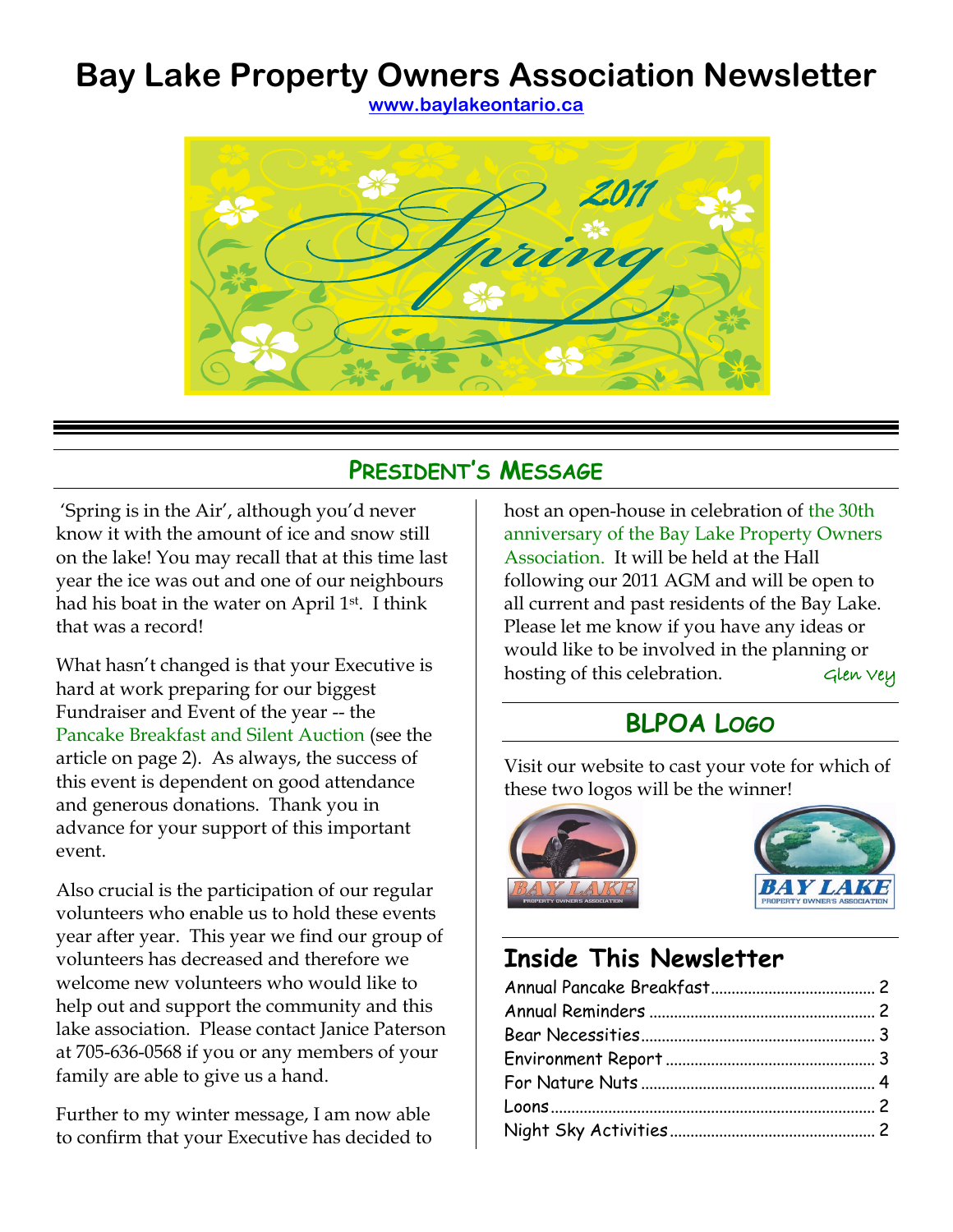# **Bay Lake Property Owners Association Newsletter**

**[www.baylakeontario.ca](http://www.baylakeontario.ca/)**



## **PRESIDENT'S MESSAGE**

"Spring is in the Air", although you"d never know it with the amount of ice and snow still on the lake! You may recall that at this time last year the ice was out and one of our neighbours had his boat in the water on April 1<sup>st</sup>. I think that was a record!

What hasn"t changed is that your Executive is hard at work preparing for our biggest Fundraiser and Event of the year -- the Pancake Breakfast and Silent Auction (see the article on page [2\)](#page-1-0). As always, the success of this event is dependent on good attendance and generous donations. Thank you in advance for your support of this important event.

Also crucial is the participation of our regular volunteers who enable us to hold these events year after year. This year we find our group of volunteers has decreased and therefore we welcome new volunteers who would like to help out and support the community and this lake association. Please contact Janice Paterson at 705-636-0568 if you or any members of your family are able to give us a hand.

Further to my winter message, I am now able to confirm that your Executive has decided to host an open-house in celebration of the 30th anniversary of the Bay Lake Property Owners Association. It will be held at the Hall following our 2011 AGM and will be open to all current and past residents of the Bay Lake. Please let me know if you have any ideas or would like to be involved in the planning or hosting of this celebration.  $\epsilon$   $\epsilon$   $\epsilon$   $\epsilon$ 

# **BLPOA LOGO**

Visit our website to cast your vote for which of these two logos will be the winner!





# **Inside This Newsletter**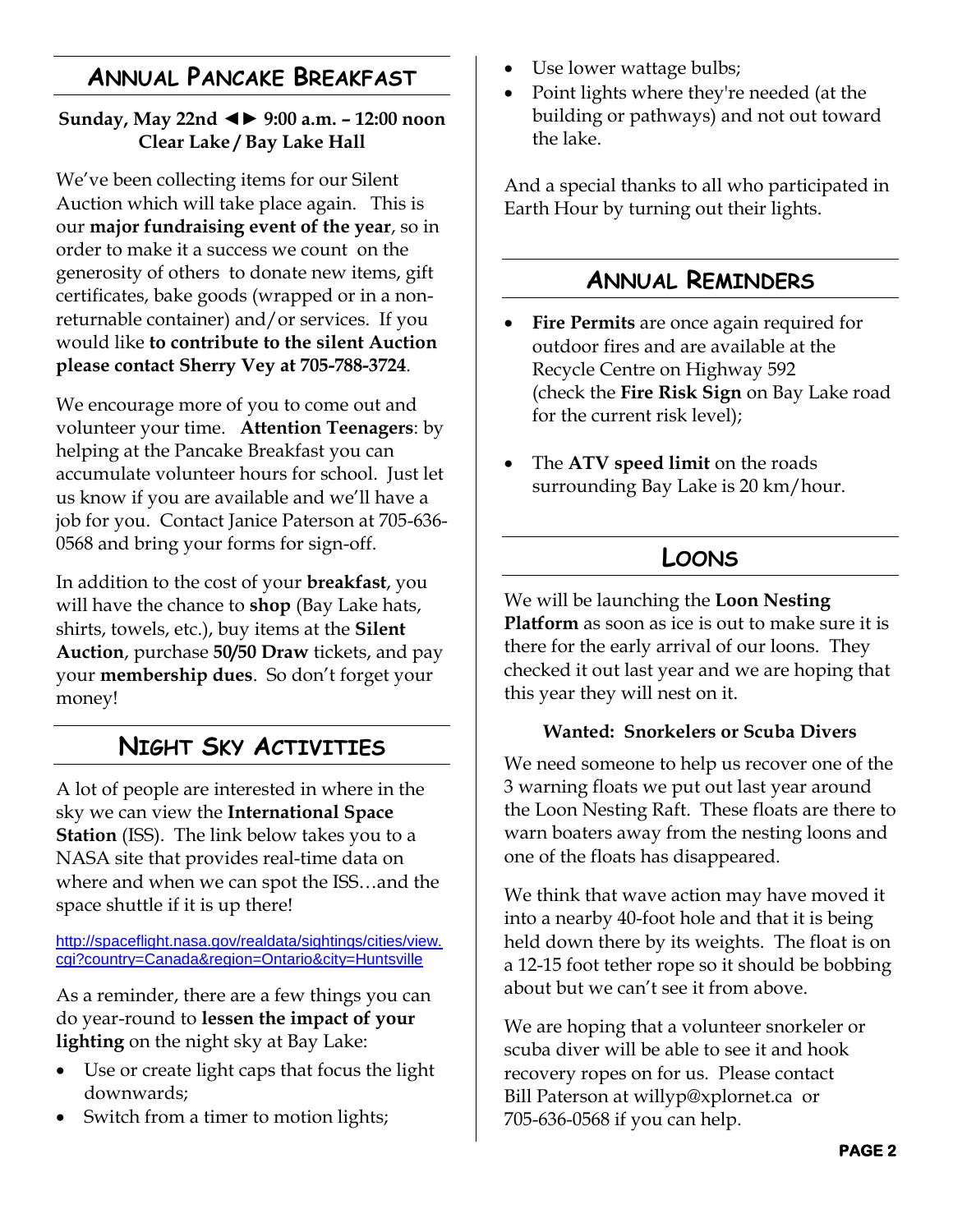#### <span id="page-1-0"></span>**ANNUAL PANCAKE BREAKFAST**

#### **Sunday, May 22nd ◄► 9:00 a.m. – 12:00 noon Clear Lake / Bay Lake Hall**

We've been collecting items for our Silent Auction which will take place again. This is our **major fundraising event of the year**, so in order to make it a success we count on the generosity of others to donate new items, gift certificates, bake goods (wrapped or in a nonreturnable container) and/or services. If you would like **to contribute to the silent Auction please contact Sherry Vey at 705-788-3724**.

We encourage more of you to come out and volunteer your time. **Attention Teenagers**: by helping at the Pancake Breakfast you can accumulate volunteer hours for school. Just let us know if you are available and we"ll have a job for you. Contact Janice Paterson at 705-636- 0568 and bring your forms for sign-off.

In addition to the cost of your **breakfast**, you will have the chance to **shop** (Bay Lake hats, shirts, towels, etc.), buy items at the **Silent Auction**, purchase **50/50 Draw** tickets, and pay your **membership dues**. So don"t forget your money!

## **NIGHT SKY ACTIVITIES**

<span id="page-1-5"></span>A lot of people are interested in where in the sky we can view the **International Space Station** (ISS). The link below takes you to a NASA site that provides real-time data on where and when we can spot the ISS…and the space shuttle if it is up there!

[http://spaceflight.nasa.gov/realdata/sightings/cities/view.](http://spaceflight.nasa.gov/realdata/sightings/cities/view.cgi?country=Canada®ion=Ontario&city=Huntsville) [cgi?country=Canada&region=Ontario&city=Huntsville](http://spaceflight.nasa.gov/realdata/sightings/cities/view.cgi?country=Canada®ion=Ontario&city=Huntsville)

<span id="page-1-4"></span>As a reminder, there are a few things you can do year-round to **lessen the impact of your lighting** on the night sky at Bay Lake:

- Use or create light caps that focus the light downwards;
- Switch from a timer to motion lights;
- Use lower wattage bulbs;
- Point lights where they're needed (at the building or pathways) and not out toward the lake.

And a special thanks to all who participated in Earth Hour by turning out their lights.

#### **ANNUAL REMINDERS**

- <span id="page-1-2"></span> **Fire Permits** are once again required for outdoor fires and are available at the Recycle Centre on Highway 592 (check the **Fire Risk Sign** on Bay Lake road for the current risk level);
- The **ATV speed limit** on the roads surrounding Bay Lake is 20 km/hour.

# **LOONS**

<span id="page-1-3"></span><span id="page-1-1"></span>We will be launching the **Loon Nesting Platform** as soon as ice is out to make sure it is there for the early arrival of our loons. They checked it out last year and we are hoping that this year they will nest on it.

#### **Wanted: Snorkelers or Scuba Divers**

We need someone to help us recover one of the 3 warning floats we put out last year around the Loon Nesting Raft. These floats are there to warn boaters away from the nesting loons and one of the floats has disappeared.

We think that wave action may have moved it into a nearby 40-foot hole and that it is being held down there by its weights. The float is on a 12-15 foot tether rope so it should be bobbing about but we can't see it from above.

We are hoping that a volunteer snorkeler or scuba diver will be able to see it and hook recovery ropes on for us. Please contact Bill Paterson at willyp@xplornet.ca or 705-636-0568 if you can help.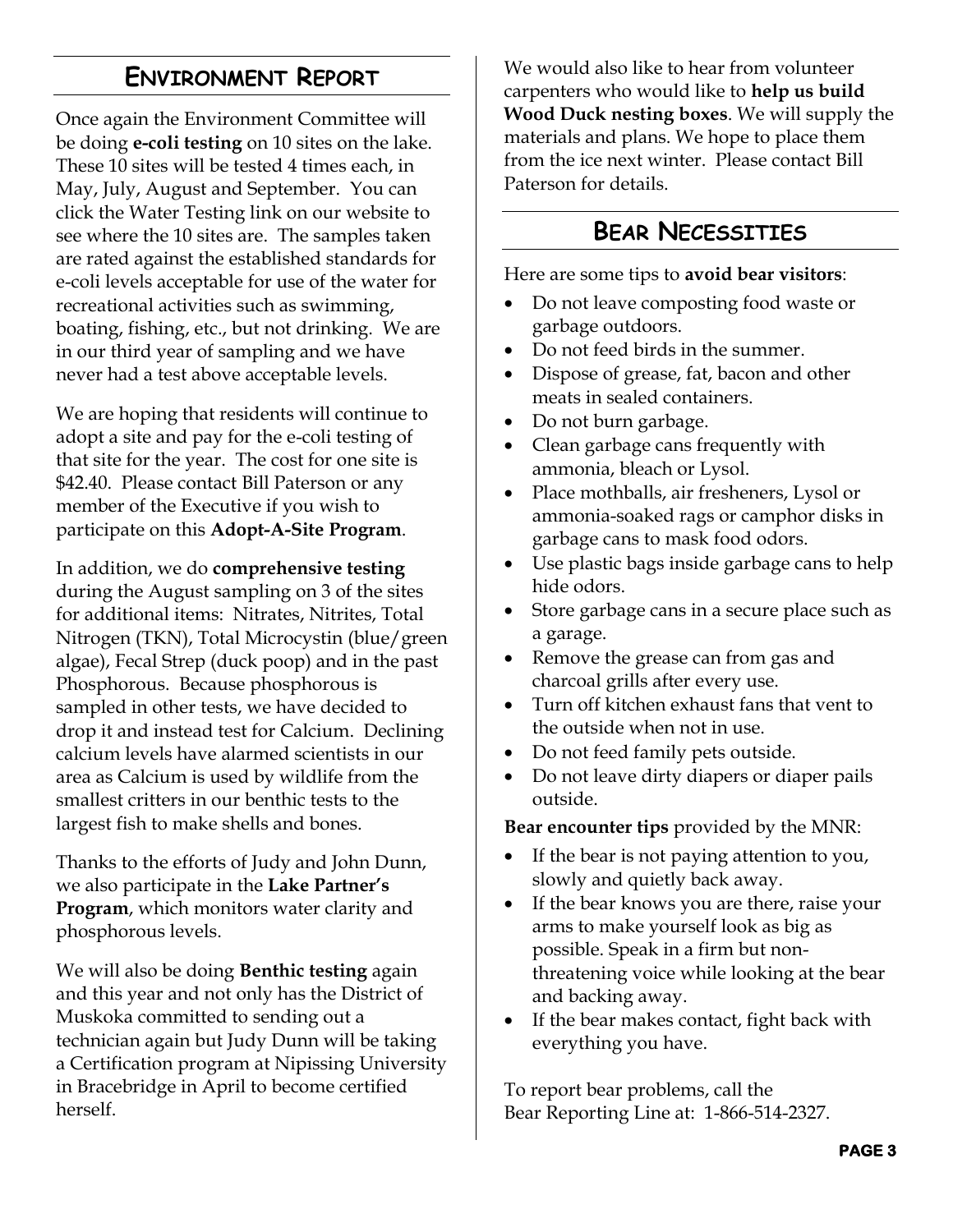## **ENVIRONMENT REPORT**

<span id="page-2-1"></span>Once again the Environment Committee will be doing **e-coli testing** on 10 sites on the lake. These 10 sites will be tested 4 times each, in May, July, August and September. You can click the Water Testing link on our website to see where the 10 sites are. The samples taken are rated against the established standards for e-coli levels acceptable for use of the water for recreational activities such as swimming, boating, fishing, etc., but not drinking. We are in our third year of sampling and we have never had a test above acceptable levels.

We are hoping that residents will continue to adopt a site and pay for the e-coli testing of that site for the year. The cost for one site is \$42.40. Please contact Bill Paterson or any member of the Executive if you wish to participate on this **Adopt-A-Site Program**.

In addition, we do **comprehensive testing** during the August sampling on 3 of the sites for additional items: Nitrates, Nitrites, Total Nitrogen (TKN), Total Microcystin (blue/green algae), Fecal Strep (duck poop) and in the past Phosphorous. Because phosphorous is sampled in other tests, we have decided to drop it and instead test for Calcium. Declining calcium levels have alarmed scientists in our area as Calcium is used by wildlife from the smallest critters in our benthic tests to the largest fish to make shells and bones.

Thanks to the efforts of Judy and John Dunn, we also participate in the **Lake Partner's Program**, which monitors water clarity and phosphorous levels.

We will also be doing **Benthic testing** again and this year and not only has the District of Muskoka committed to sending out a technician again but Judy Dunn will be taking a Certification program at Nipissing University in Bracebridge in April to become certified herself.

We would also like to hear from volunteer carpenters who would like to **help us build Wood Duck nesting boxes**. We will supply the materials and plans. We hope to place them from the ice next winter. Please contact Bill Paterson for details.

#### **BEAR NECESSITIES**

<span id="page-2-0"></span>Here are some tips to **avoid bear visitors**:

- Do not leave composting food waste or garbage outdoors.
- Do not feed birds in the summer.
- Dispose of grease, fat, bacon and other meats in sealed containers.
- Do not burn garbage.
- Clean garbage cans frequently with ammonia, bleach or Lysol.
- Place mothballs, air fresheners, Lysol or ammonia-soaked rags or camphor disks in garbage cans to mask food odors.
- Use plastic bags inside garbage cans to help hide odors.
- Store garbage cans in a secure place such as a garage.
- Remove the grease can from gas and charcoal grills after every use.
- Turn off kitchen exhaust fans that vent to the outside when not in use.
- Do not feed family pets outside.
- Do not leave dirty diapers or diaper pails outside.

**Bear encounter tips** provided by the MNR:

- If the bear is not paying attention to you, slowly and quietly back away.
- If the bear knows you are there, raise your arms to make yourself look as big as possible. Speak in a firm but nonthreatening voice while looking at the bear and backing away.
- If the bear makes contact, fight back with everything you have.

To report bear problems, call the Bear Reporting Line at: 1-866-514-2327.